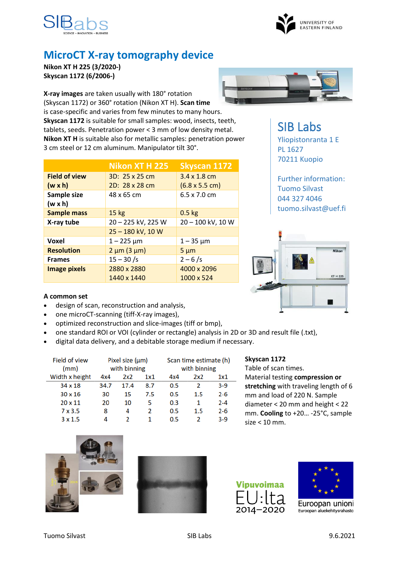



# **MicroCT X-ray tomography device**

**Nikon XT H 225 (3/2020-) Skyscan 1172 (6/2006-)**

**X-ray images** are taken usually with 180° rotation (Skyscan 1172) or 360° rotation (Nikon XT H). **Scan time**  is case-specific and varies from few minutes to many hours. **Skyscan 1172** is suitable for small samples: wood, insects, teeth, tablets, seeds. Penetration power < 3 mm of low density metal. **Nikon XT H** is suitable also for metallic samples: penetration power 3 cm steel or 12 cm aluminum. Manipulator tilt 30°.

|                      | <b>Nikon XT H 225</b> | <b>Skyscan 1172</b>           |
|----------------------|-----------------------|-------------------------------|
| <b>Field of view</b> | 3D: 25 x 25 cm        | $3.4 \times 1.8$ cm           |
| $(w \times h)$       | 2D: 28 x 28 cm        | $(6.8 \times 5.5 \text{ cm})$ |
| Sample size          | 48 x 65 cm            | $6.5 \times 7.0 \text{ cm}$   |
| $(w \times h)$       |                       |                               |
| <b>Sample mass</b>   | 15 <sub>kg</sub>      | $0.5$ kg                      |
| X-ray tube           | 20 - 225 kV, 225 W    | 20 - 100 kV, 10 W             |
|                      | 25 - 180 kV, 10 W     |                               |
| <b>Voxel</b>         | $1 - 225 \mu m$       | $1 - 35 \mu m$                |
| <b>Resolution</b>    | $2 \mu m (3 \mu m)$   | $5 \mu m$                     |
| <b>Frames</b>        | $15 - 30 / s$         | $2 - 6/s$                     |
| <b>Image pixels</b>  | 2880 x 2880           | 4000 x 2096                   |
|                      | 1440 x 1440           | 1000 x 524                    |



SIB Labs Yliopistonranta 1 E

PL 1627 70211 Kuopio

Further information: Tuomo Silvast 044 327 4046 tuomo.silvast@uef.fi



#### **A common set**

- design of scan, reconstruction and analysis,
- one microCT-scanning (tiff-X-ray images),
- optimized reconstruction and slice-images (tiff or bmp),
- one standard ROI or VOI (cylinder or rectangle) analysis in 2D or 3D and result file (.txt),
- digital data delivery, and a debitable storage medium if necessary.

| Field of view<br>(mm) | Pixel size (um)<br>with binning |      |     | Scan time estimate (h)<br>with binning |     |         |
|-----------------------|---------------------------------|------|-----|----------------------------------------|-----|---------|
| Width x height        | 4x4                             | 2x2  | 1x1 | 4x4                                    | 2x2 | 1x1     |
| 34 x 18               | 34.7                            | 17.4 | 8.7 | 0.5                                    | 2   | $3-9$   |
| 30 x 16               | 30                              | 15   | 7.5 | 0.5                                    | 1.5 | $2 - 6$ |
| $20 \times 11$        | 20                              | 10   | 5   | 0.3                                    | 1   | $2 - 4$ |
| $7 \times 3.5$        | 8                               | 4    | 2   | 0.5                                    | 1.5 | $2 - 6$ |
| $3 \times 1.5$        | 4                               | 2    | 1   | 0.5                                    | 2   | $3-9$   |

### **Skyscan 1172**

Table of scan times. Material testing **compression or stretching** with traveling length of 6 mm and load of 220 N. Sample diameter < 20 mm and height < 22 mm. **Cooling** to +20… -25°C, sample  $size < 10$  mm.







Euroopan unioni Euroopan aluekehitysrahasto